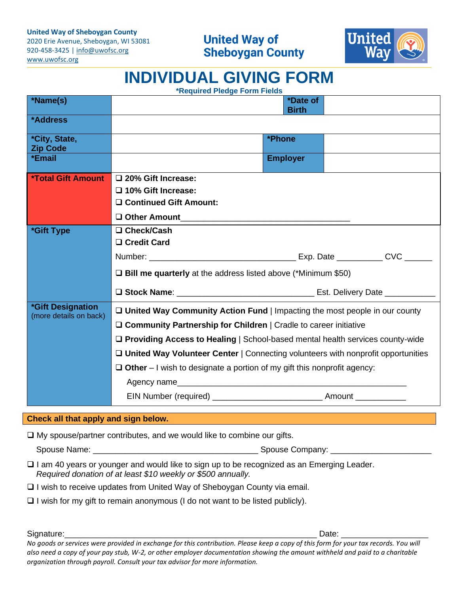**United Way of Sheboygan County**

2020 Erie Avenue, Sheboygan, WI 53081 920-458-3425 | [info@uwofsc.org](mailto:info@uwofsc.org) [www.uwofsc.org](http://www.uwofsc.org/)



**INDIVIDUAL GIVING FORM**

| *Name(s)                                    |                                                                                                                                                                                                                                                 |                                        |  |  |  |
|---------------------------------------------|-------------------------------------------------------------------------------------------------------------------------------------------------------------------------------------------------------------------------------------------------|----------------------------------------|--|--|--|
|                                             |                                                                                                                                                                                                                                                 | <i><b>*Date of</b></i><br><b>Birth</b> |  |  |  |
| *Address                                    |                                                                                                                                                                                                                                                 |                                        |  |  |  |
| *City, State,<br><b>Zip Code</b>            |                                                                                                                                                                                                                                                 | *Phone                                 |  |  |  |
| *Email                                      |                                                                                                                                                                                                                                                 | <b>Employer</b>                        |  |  |  |
| <b>*Total Gift Amount</b>                   | □ 20% Gift Increase:                                                                                                                                                                                                                            |                                        |  |  |  |
|                                             | $\square$ 10% Gift Increase:                                                                                                                                                                                                                    |                                        |  |  |  |
|                                             | □ Continued Gift Amount:                                                                                                                                                                                                                        |                                        |  |  |  |
|                                             | Other Amount                                                                                                                                                                                                                                    |                                        |  |  |  |
| *Gift Type                                  | □ Check/Cash                                                                                                                                                                                                                                    |                                        |  |  |  |
|                                             | □ Credit Card                                                                                                                                                                                                                                   |                                        |  |  |  |
|                                             |                                                                                                                                                                                                                                                 |                                        |  |  |  |
|                                             | $\square$ Bill me quarterly at the address listed above (*Minimum \$50)                                                                                                                                                                         |                                        |  |  |  |
|                                             |                                                                                                                                                                                                                                                 |                                        |  |  |  |
| *Gift Designation<br>(more details on back) | $\Box$ United Way Community Action Fund   Impacting the most people in our county<br>□ Community Partnership for Children   Cradle to career initiative<br>$\Box$ Providing Access to Healing   School-based mental health services county-wide |                                        |  |  |  |
|                                             |                                                                                                                                                                                                                                                 |                                        |  |  |  |
|                                             |                                                                                                                                                                                                                                                 |                                        |  |  |  |
|                                             | □ United Way Volunteer Center   Connecting volunteers with nonprofit opportunities                                                                                                                                                              |                                        |  |  |  |
|                                             | $\Box$ Other – I wish to designate a portion of my gift this nonprofit agency:                                                                                                                                                                  |                                        |  |  |  |
|                                             | Agency name                                                                                                                                                                                                                                     |                                        |  |  |  |
|                                             |                                                                                                                                                                                                                                                 |                                        |  |  |  |

## **Check all that apply and sign below.**

❑ My spouse/partner contributes, and we would like to combine our gifts.

Spouse Name: \_\_\_\_\_\_\_\_\_\_\_\_\_\_\_\_\_\_\_\_\_\_\_\_\_\_\_\_\_\_\_\_\_\_\_\_ Spouse Company: \_\_\_\_\_\_\_\_\_\_\_\_\_\_\_\_\_\_\_\_\_\_

❑ I am 40 years or younger and would like to sign up to be recognized as an Emerging Leader.  *Required donation of at least \$10 weekly or \$500 annually.*

❑ I wish to receive updates from United Way of Sheboygan County via email.

❑ I wish for my gift to remain anonymous (I do not want to be listed publicly).

Signature:\_\_\_\_\_\_\_\_\_\_\_\_\_\_\_\_\_\_\_\_\_\_\_\_\_\_\_\_\_\_\_\_\_\_\_\_\_\_\_\_\_\_\_\_\_\_\_\_\_\_\_\_\_\_\_ Date: \_\_\_\_\_\_\_\_\_\_\_\_\_\_\_\_\_\_\_

*No goods or services were provided in exchange for this contribution. Please keep a copy of this form for your tax records. You will also need a copy of your pay stub, W-2, or other employer documentation showing the amount withheld and paid to a charitable organization through payroll. Consult your tax advisor for more information.*